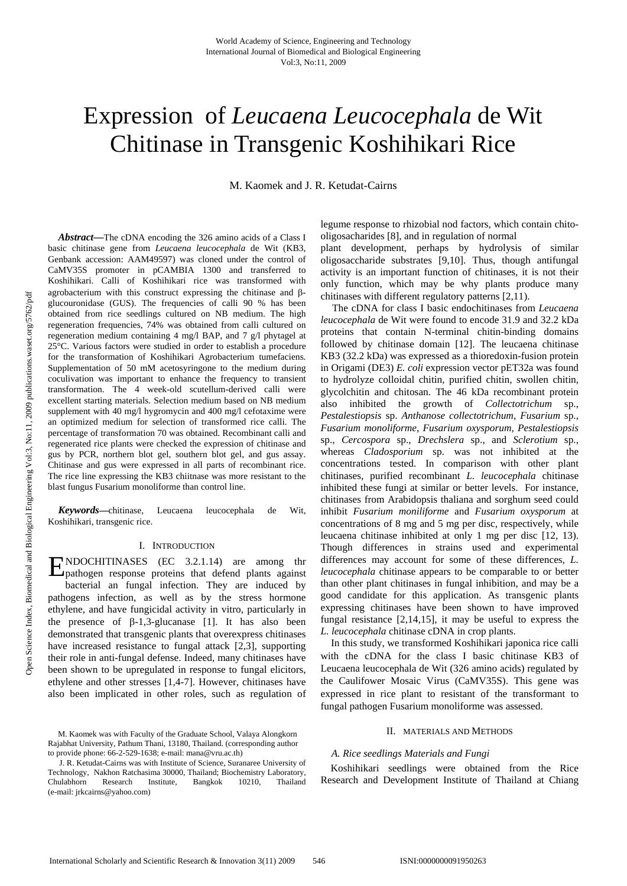# Expression of *Leucaena Leucocephala* de Wit Chitinase in Transgenic Koshihikari Rice

M. Kaomek and J. R. Ketudat-Cairns

*Abstract***—**The cDNA encoding the 326 amino acids of a Class I basic chitinase gene from *Leucaena leucocephala* de Wit (KB3, Genbank accession: AAM49597) was cloned under the control of CaMV35S promoter in pCAMBIA 1300 and transferred to Koshihikari. Calli of Koshihikari rice was transformed with agrobacterium with this construct expressing the chitinase and βglucouronidase (GUS). The frequencies of calli 90 % has been obtained from rice seedlings cultured on NB medium. The high regeneration frequencies, 74% was obtained from calli cultured on regeneration medium containing 4 mg/l BAP, and 7 g/l phytagel at 25°C. Various factors were studied in order to establish a procedure for the transformation of Koshihikari Agrobacterium tumefaciens. Supplementation of 50 mM acetosyringone to the medium during coculivation was important to enhance the frequency to transient transformation. The 4 week-old scutellum-derived calli were excellent starting materials. Selection medium based on NB medium supplement with 40 mg/l hygromycin and 400 mg/l cefotaxime were an optimized medium for selection of transformed rice calli. The percentage of transformation 70 was obtained. Recombinant calli and regenerated rice plants were checked the expression of chitinase and gus by PCR, northern blot gel, southern blot gel, and gus assay. Chitinase and gus were expressed in all parts of recombinant rice. The rice line expressing the KB3 chiitnase was more resistant to the blast fungus Fusarium monoliforme than control line.

*Keywords***—**chitinase, Leucaena leucocephala de Wit, Koshihikari, transgenic rice.

#### I. INTRODUCTION

ENDOCHITINASES (EC 3.2.1.14) are among thr<br>
Epathogen response proteins that defend plants against pathogen response proteins that defend plants against bacterial an fungal infection. They are induced by pathogens infection, as well as by the stress hormone ethylene, and have fungicidal activity in vitro, particularly in the presence of  $\beta$ -1,3-glucanase [1]. It has also been demonstrated that transgenic plants that overexpress chitinases have increased resistance to fungal attack [2,3], supporting their role in anti-fungal defense. Indeed, many chitinases have been shown to be upregulated in response to fungal elicitors, ethylene and other stresses [1,4-7]. However, chitinases have also been implicated in other roles, such as regulation of

legume response to rhizobial nod factors, which contain chitooligosacharides [8], and in regulation of normal

plant development, perhaps by hydrolysis of similar oligosaccharide substrates [9,10]. Thus, though antifungal activity is an important function of chitinases, it is not their only function, which may be why plants produce many chitinases with different regulatory patterns [2,11).

The cDNA for class I basic endochitinases from *Leucaena leucocephala* de Wit were found to encode 31.9 and 32.2 kDa proteins that contain N-terminal chitin-binding domains followed by chitinase domain [12]. The leucaena chitinase KB3 (32.2 kDa) was expressed as a thioredoxin-fusion protein in Origami (DE3) *E. coli* expression vector pET32a was found to hydrolyze colloidal chitin, purified chitin, swollen chitin, glycolchitin and chitosan. The 46 kDa recombinant protein also inhibited the growth of *Collectotrichum* sp., *Pestalestiopsis* sp. *Anthanose collectotrichum*, *Fusarium* sp., *Fusarium monoliforme*, *Fusarium oxysporum*, *Pestalestiopsis* sp., *Cercospora* sp., *Drechslera* sp., and *Sclerotium* sp., whereas *Cladosporium* sp. was not inhibited at the concentrations tested. In comparison with other plant chitinases, purified recombinant *L. leucocephala* chitinase inhibited these fungi at similar or better levels. For instance, chitinases from Arabidopsis thaliana and sorghum seed could inhibit *Fusarium moniliforme* and *Fusarium oxysporum* at concentrations of 8 mg and 5 mg per disc, respectively, while leucaena chitinase inhibited at only 1 mg per disc [12, 13). Though differences in strains used and experimental differences may account for some of these differences, *L. leucocephala* chitinase appears to be comparable to or better than other plant chitinases in fungal inhibition, and may be a good candidate for this application. As transgenic plants expressing chitinases have been shown to have improved fungal resistance [2,14,15], it may be useful to express the *L. leucocephala* chitinase cDNA in crop plants.

In this study, we transformed Koshihikari japonica rice calli with the cDNA for the class I basic chitinase KB3 of Leucaena leucocephala de Wit (326 amino acids) regulated by the Caulifower Mosaic Virus (CaMV35S). This gene was expressed in rice plant to resistant of the transformant to fungal pathogen Fusarium monoliforme was assessed.

#### II. MATERIALS AND METHODS

#### *A. Rice seedlings Materials and Fungi*

Koshihikari seedlings were obtained from the Rice Research and Development Institute of Thailand at Chiang

M. Kaomek was with Faculty of the Graduate School, Valaya Alongkorn Rajabhat University, Pathum Thani, 13180, Thailand. (corresponding author to provide phone: 66-2-529-1638; e-mail: mana@vru.ac.th)

J. R. Ketudat-Cairns was with Institute of Science, Suranaree University of Technology, Nakhon Ratchasima 30000, Thailand; Biochemistry Laboratory, Chulabhorn Research Institute, Bangkok 10210, Thailand (e-mail: jrkcairns@yahoo.com)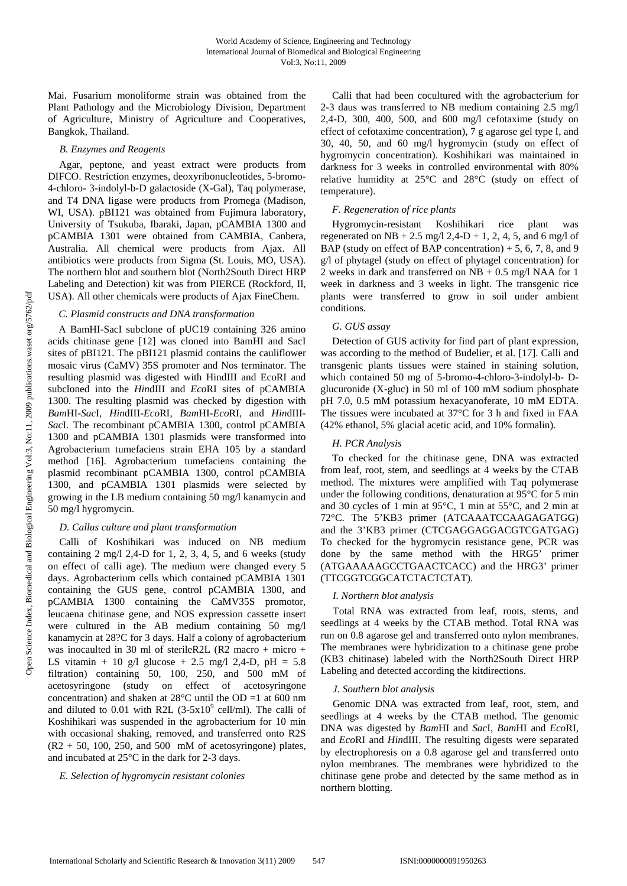Mai. Fusarium monoliforme strain was obtained from the Plant Pathology and the Microbiology Division, Department of Agriculture, Ministry of Agriculture and Cooperatives, Bangkok, Thailand.

## *B. Enzymes and Reagents*

Agar, peptone, and yeast extract were products from DIFCO. Restriction enzymes, deoxyribonucleotides, 5-bromo-4-chloro- 3-indolyl-b-D galactoside (X-Gal), Taq polymerase, and T4 DNA ligase were products from Promega (Madison, WI, USA). pBI121 was obtained from Fujimura laboratory, University of Tsukuba, Ibaraki, Japan, pCAMBIA 1300 and pCAMBIA 1301 were obtained from CAMBIA, Canbera, Australia. All chemical were products from Ajax. All antibiotics were products from Sigma (St. Louis, MO, USA). The northern blot and southern blot (North2South Direct HRP Labeling and Detection) kit was from PIERCE (Rockford, Il, USA). All other chemicals were products of Ajax FineChem.

## *C. Plasmid constructs and DNA transformation*

A BamHI-SacI subclone of pUC19 containing 326 amino acids chitinase gene [12] was cloned into BamHI and SacI sites of pBI121. The pBI121 plasmid contains the cauliflower mosaic virus (CaMV) 35S promoter and Nos terminator. The resulting plasmid was digested with HindIII and EcoRI and subcloned into the *Hin*dIII and *Eco*RI sites of pCAMBIA 1300. The resulting plasmid was checked by digestion with *Bam*HI-*Sac*I, *Hin*dIII-*Eco*RI, *Bam*HI-*Eco*RI, and *Hin*dIII-*Sac*I. The recombinant pCAMBIA 1300, control pCAMBIA 1300 and pCAMBIA 1301 plasmids were transformed into Agrobacterium tumefaciens strain EHA 105 by a standard method [16]. Agrobacterium tumefaciens containing the plasmid recombinant pCAMBIA 1300, control pCAMBIA 1300, and pCAMBIA 1301 plasmids were selected by growing in the LB medium containing 50 mg/l kanamycin and 50 mg/l hygromycin.

# *D. Callus culture and plant transformation*

Calli of Koshihikari was induced on NB medium containing 2 mg/l 2,4-D for 1, 2, 3, 4, 5, and 6 weeks (study on effect of calli age). The medium were changed every 5 days. Agrobacterium cells which contained pCAMBIA 1301 containing the GUS gene, control pCAMBIA 1300, and pCAMBIA 1300 containing the CaMV35S promotor, leucaena chitinase gene, and NOS expression cassette insert were cultured in the AB medium containing 50 mg/l kanamycin at 28?C for 3 days. Half a colony of agrobacterium was inocaulted in 30 ml of sterileR2L (R2 macro + micro + LS vitamin + 10 g/l glucose + 2.5 mg/l 2,4-D, pH =  $5.8$ filtration) containing 50, 100, 250, and  $500$  mM of acetosyringone (study on effect of acetosyringone concentration) and shaken at  $28^{\circ}$ C until the OD =1 at 600 nm and diluted to 0.01 with R2L  $(3-5x10^9 \text{ cell/ml})$ . The calli of Koshihikari was suspended in the agrobacterium for 10 min with occasional shaking, removed, and transferred onto R2S  $(R2 + 50, 100, 250, and 500$  mM of acetosyringone) plates, and incubated at 25°C in the dark for 2-3 days.

*E. Selection of hygromycin resistant colonies* 

Calli that had been cocultured with the agrobacterium for 2-3 daus was transferred to NB medium containing 2.5 mg/l 2,4-D, 300, 400, 500, and 600 mg/l cefotaxime (study on effect of cefotaxime concentration), 7 g agarose gel type I, and 30, 40, 50, and 60 mg/l hygromycin (study on effect of hygromycin concentration). Koshihikari was maintained in darkness for 3 weeks in controlled environmental with 80% relative humidity at 25°C and 28°C (study on effect of temperature).

# *F. Regeneration of rice plants*

Hygromycin-resistant Koshihikari rice plant was regenerated on  $NB + 2.5$  mg/l  $2,4-D + 1, 2, 4, 5$ , and 6 mg/l of BAP (study on effect of BAP concentration)  $+ 5, 6, 7, 8$ , and 9 g/l of phytagel (study on effect of phytagel concentration) for 2 weeks in dark and transferred on  $NB + 0.5$  mg/l NAA for 1 week in darkness and 3 weeks in light. The transgenic rice plants were transferred to grow in soil under ambient conditions.

## *G. GUS assay*

Detection of GUS activity for find part of plant expression, was according to the method of Budelier, et al. [17]. Calli and transgenic plants tissues were stained in staining solution, which contained 50 mg of 5-bromo-4-chloro-3-indolyl-b- Dglucuronide (X-gluc) in 50 ml of 100 mM sodium phosphate pH 7.0, 0.5 mM potassium hexacyanoferate, 10 mM EDTA. The tissues were incubated at 37°C for 3 h and fixed in FAA (42% ethanol, 5% glacial acetic acid, and 10% formalin).

# *H. PCR Analysis*

To checked for the chitinase gene, DNA was extracted from leaf, root, stem, and seedlings at 4 weeks by the CTAB method. The mixtures were amplified with Taq polymerase under the following conditions, denaturation at 95°C for 5 min and 30 cycles of 1 min at 95°C, 1 min at 55°C, and 2 min at 72°C. The 5'KB3 primer (ATCAAATCCAAGAGATGG) and the 3'KB3 primer (CTCGAGGAGGACGTCGATGAG) To checked for the hygromycin resistance gene, PCR was done by the same method with the HRG5' primer (ATGAAAAAGCCTGAACTCACC) and the HRG3' primer (TTCGGTCGGCATCTACTCTAT).

# *I. Northern blot analysis*

Total RNA was extracted from leaf, roots, stems, and seedlings at 4 weeks by the CTAB method. Total RNA was run on 0.8 agarose gel and transferred onto nylon membranes. The membranes were hybridization to a chitinase gene probe (KB3 chitinase) labeled with the North2South Direct HRP Labeling and detected according the kitdirections.

#### *J. Southern blot analysis*

Genomic DNA was extracted from leaf, root, stem, and seedlings at 4 weeks by the CTAB method. The genomic DNA was digested by *Bam*HI and *Sac*I, *Bam*HI and *Eco*RI, and *Eco*RI and *Hin*dIII. The resulting digests were separated by electrophoresis on a 0.8 agarose gel and transferred onto nylon membranes. The membranes were hybridized to the chitinase gene probe and detected by the same method as in northern blotting.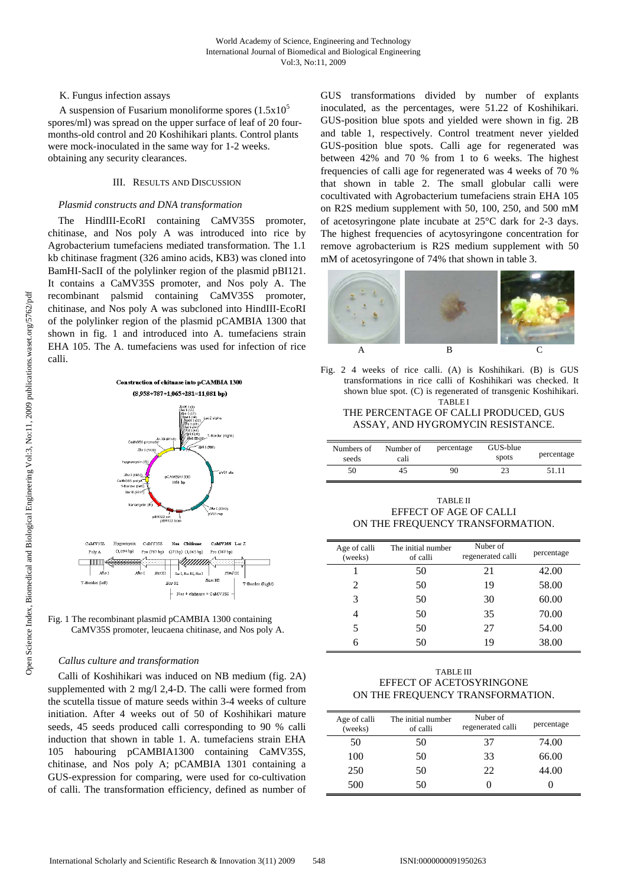# K. Fungus infection assays

A suspension of Fusarium monoliforme spores  $(1.5x10<sup>5</sup>)$ spores/ml) was spread on the upper surface of leaf of 20 fourmonths-old control and 20 Koshihikari plants. Control plants were mock-inoculated in the same way for 1-2 weeks. obtaining any security clearances.

#### III. RESULTS AND DISCUSSION

#### *Plasmid constructs and DNA transformation*

The HindIII-EcoRI containing CaMV35S promoter, chitinase, and Nos poly A was introduced into rice by Agrobacterium tumefaciens mediated transformation. The 1.1 kb chitinase fragment (326 amino acids, KB3) was cloned into BamHI-SacII of the polylinker region of the plasmid pBI121. It contains a CaMV35S promoter, and Nos poly A. The recombinant palsmid containing CaMV35S promoter, chitinase, and Nos poly A was subcloned into HindIII-EcoRI of the polylinker region of the plasmid pCAMBIA 1300 that shown in fig. 1 and introduced into A. tumefaciens strain EHA 105. The A. tumefaciens was used for infection of rice calli.



Fig. 1 The recombinant plasmid pCAMBIA 1300 containing CaMV35S promoter, leucaena chitinase, and Nos poly A.

#### *Callus culture and transformation*

Calli of Koshihikari was induced on NB medium (fig. 2A) supplemented with 2 mg/l 2,4-D. The calli were formed from the scutella tissue of mature seeds within 3-4 weeks of culture initiation. After 4 weeks out of 50 of Koshihikari mature seeds, 45 seeds produced calli corresponding to 90 % calli induction that shown in table 1. A. tumefaciens strain EHA 105 habouring pCAMBIA1300 containing CaMV35S, chitinase, and Nos poly A; pCAMBIA 1301 containing a GUS-expression for comparing, were used for co-cultivation of calli. The transformation efficiency, defined as number of

GUS transformations divided by number of explants inoculated, as the percentages, were 51.22 of Koshihikari. GUS-position blue spots and yielded were shown in fig. 2B and table 1, respectively. Control treatment never yielded GUS-position blue spots. Calli age for regenerated was between 42% and 70 % from 1 to 6 weeks. The highest frequencies of calli age for regenerated was 4 weeks of 70 % that shown in table 2. The small globular calli were cocultivated with Agrobacterium tumefaciens strain EHA 105 on R2S medium supplement with 50, 100, 250, and 500 mM of acetosyringone plate incubate at 25°C dark for 2-3 days. The highest frequencies of acytosyringone concentration for remove agrobacterium is R2S medium supplement with 50 mM of acetosyringone of 74% that shown in table 3.



Fig. 2 4 weeks of rice calli. (A) is Koshihikari. (B) is GUS transformations in rice calli of Koshihikari was checked. It shown blue spot. (C) is regenerated of transgenic Koshihikari. TABLE I

#### THE PERCENTAGE OF CALLI PRODUCED, GUS ASSAY, AND HYGROMYCIN RESISTANCE.

| Numbers of<br>seeds | Number of<br>cali | percentage | GUS-blue<br>spots | percentage |
|---------------------|-------------------|------------|-------------------|------------|
| 50                  | 45                | 90         | 23                | 51.11      |

TABLE II EFFECT OF AGE OF CALLI ON THE FREQUENCY TRANSFORMATION.

| Age of calli<br>(weeks) | The initial number<br>of calli | Nuber of<br>regenerated calli | percentage |
|-------------------------|--------------------------------|-------------------------------|------------|
|                         | 50                             | 21                            | 42.00      |
| 2                       | 50                             | 19                            | 58.00      |
| 3                       | 50                             | 30                            | 60.00      |
| 4                       | 50                             | 35                            | 70.00      |
| 5                       | 50                             | 27                            | 54.00      |
| 6                       | 50                             | 19                            | 38.00      |

TABLE III EFFECT OF ACETOSYRINGONE ON THE FREQUENCY TRANSFORMATION.

| Age of calli<br>(weeks) | The initial number<br>of calli | Nuber of<br>regenerated calli | percentage |
|-------------------------|--------------------------------|-------------------------------|------------|
| 50                      | 50                             | 37                            | 74.00      |
| 100                     | 50                             | 33                            | 66.00      |
| 250                     | 50                             | 22                            | 44.00      |
| 500                     | 50                             |                               |            |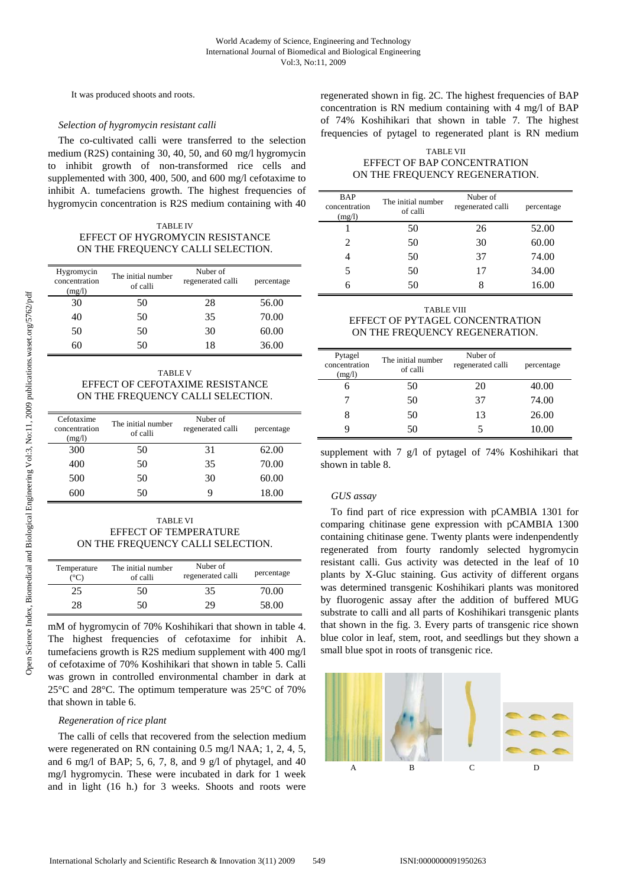It was produced shoots and roots.

# *Selection of hygromycin resistant calli*

The co-cultivated calli were transferred to the selection medium (R2S) containing 30, 40, 50, and 60 mg/l hygromycin to inhibit growth of non-transformed rice cells and supplemented with 300, 400, 500, and 600 mg/l cefotaxime to inhibit A. tumefaciens growth. The highest frequencies of hygromycin concentration is R2S medium containing with 40

TABLE IV EFFECT OF HYGROMYCIN RESISTANCE ON THE FREQUENCY CALLI SELECTION.

| Hygromycin<br>concentration<br>(mg/l) | The initial number<br>of calli | Nuber of<br>regenerated calli | percentage |
|---------------------------------------|--------------------------------|-------------------------------|------------|
| 30                                    | 50                             | 28                            | 56.00      |
| 40                                    | 50                             | 35                            | 70.00      |
| 50                                    | 50                             | 30                            | 60.00      |
| 60                                    | 50                             | 18                            | 36.00      |

TABLE V EFFECT OF CEFOTAXIME RESISTANCE ON THE FREQUENCY CALLI SELECTION.

| Cefotaxime<br>concentration<br>(mg/l) | The initial number<br>of calli | Nuber of<br>regenerated calli | percentage |
|---------------------------------------|--------------------------------|-------------------------------|------------|
| 300                                   | 50                             | 31                            | 62.00      |
| 400                                   | 50                             | 35                            | 70.00      |
| 500                                   | 50                             | 30                            | 60.00      |
| 600                                   | 50                             | 9                             | 18.00      |

TABLE VI EFFECT OF TEMPERATURE ON THE FREQUENCY CALLI SELECTION.

| Temperature<br>(°C) | The initial number<br>of calli | Nuber of<br>regenerated calli | percentage |
|---------------------|--------------------------------|-------------------------------|------------|
| 25                  | 50                             | 35                            | 70.00      |
|                     | 50                             | 29                            | 58.00      |

mM of hygromycin of 70% Koshihikari that shown in table 4. The highest frequencies of cefotaxime for inhibit A. tumefaciens growth is R2S medium supplement with 400 mg/l of cefotaxime of 70% Koshihikari that shown in table 5. Calli was grown in controlled environmental chamber in dark at 25°C and 28°C. The optimum temperature was 25°C of 70% that shown in table 6.

## *Regeneration of rice plant*

The calli of cells that recovered from the selection medium were regenerated on RN containing 0.5 mg/l NAA; 1, 2, 4, 5, and 6 mg/l of BAP; 5, 6, 7, 8, and 9 g/l of phytagel, and  $40$ mg/l hygromycin. These were incubated in dark for 1 week and in light (16 h.) for 3 weeks. Shoots and roots were

regenerated shown in fig. 2C. The highest frequencies of BAP concentration is RN medium containing with 4 mg/l of BAP of 74% Koshihikari that shown in table 7. The highest frequencies of pytagel to regenerated plant is RN medium

TABLE VII EFFECT OF BAP CONCENTRATION ON THE FREQUENCY REGENERATION.

| <b>BAP</b><br>concentration<br>(mg/l) | The initial number<br>of calli | Nuber of<br>regenerated calli | percentage |
|---------------------------------------|--------------------------------|-------------------------------|------------|
|                                       | 50                             | 26                            | 52.00      |
| 2                                     | 50                             | 30                            | 60.00      |
| 4                                     | 50                             | 37                            | 74.00      |
| 5                                     | 50                             | 17                            | 34.00      |
| 6                                     | 50                             |                               | 16.00      |

TABLE VIII EFFECT OF PYTAGEL CONCENTRATION ON THE FREQUENCY REGENERATION.

| Pytagel<br>concentration<br>(mg/l) | The initial number<br>of calli | Nuber of<br>regenerated calli | percentage |
|------------------------------------|--------------------------------|-------------------------------|------------|
| 6                                  | 50                             | 20                            | 40.00      |
|                                    | 50                             | 37                            | 74.00      |
| 8                                  | 50                             | 13                            | 26.00      |
| Q                                  | 50                             | 5                             | 10.00      |

supplement with 7 g/l of pytagel of 74% Koshihikari that shown in table 8.

# *GUS assay*

To find part of rice expression with pCAMBIA 1301 for comparing chitinase gene expression with pCAMBIA 1300 containing chitinase gene. Twenty plants were indenpendently regenerated from fourty randomly selected hygromycin resistant calli. Gus activity was detected in the leaf of 10 plants by X-Gluc staining. Gus activity of different organs was determined transgenic Koshihikari plants was monitored by fluorogenic assay after the addition of buffered MUG substrate to calli and all parts of Koshihikari transgenic plants that shown in the fig. 3. Every parts of transgenic rice shown blue color in leaf, stem, root, and seedlings but they shown a small blue spot in roots of transgenic rice.

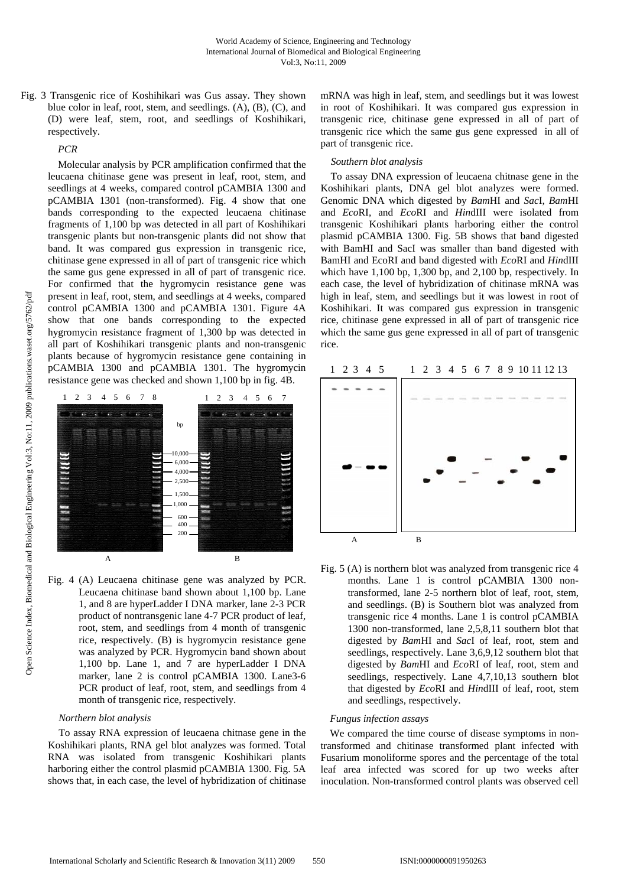Fig. 3 Transgenic rice of Koshihikari was Gus assay. They shown blue color in leaf, root, stem, and seedlings. (A), (B), (C), and (D) were leaf, stem, root, and seedlings of Koshihikari, respectively.

# *PCR*

Molecular analysis by PCR amplification confirmed that the leucaena chitinase gene was present in leaf, root, stem, and seedlings at 4 weeks, compared control pCAMBIA 1300 and pCAMBIA 1301 (non-transformed). Fig. 4 show that one bands corresponding to the expected leucaena chitinase fragments of 1,100 bp was detected in all part of Koshihikari transgenic plants but non-transgenic plants did not show that band. It was compared gus expression in transgenic rice, chitinase gene expressed in all of part of transgenic rice which the same gus gene expressed in all of part of transgenic rice. For confirmed that the hygromycin resistance gene was present in leaf, root, stem, and seedlings at 4 weeks, compared control pCAMBIA 1300 and pCAMBIA 1301. Figure 4A show that one bands corresponding to the expected hygromycin resistance fragment of 1,300 bp was detected in all part of Koshihikari transgenic plants and non-transgenic plants because of hygromycin resistance gene containing in pCAMBIA 1300 and pCAMBIA 1301. The hygromycin resistance gene was checked and shown 1,100 bp in fig. 4B.



Fig. 4 (A) Leucaena chitinase gene was analyzed by PCR. Leucaena chitinase band shown about 1,100 bp. Lane 1, and 8 are hyperLadder I DNA marker, lane 2-3 PCR product of nontransgenic lane 4-7 PCR product of leaf, root, stem, and seedlings from 4 month of transgenic rice, respectively. (B) is hygromycin resistance gene was analyzed by PCR. Hygromycin band shown about 1,100 bp. Lane 1, and 7 are hyperLadder I DNA marker, lane 2 is control pCAMBIA 1300. Lane3-6 PCR product of leaf, root, stem, and seedlings from 4 month of transgenic rice, respectively.

#### *Northern blot analysis*

To assay RNA expression of leucaena chitnase gene in the Koshihikari plants, RNA gel blot analyzes was formed. Total RNA was isolated from transgenic Koshihikari plants harboring either the control plasmid pCAMBIA 1300. Fig. 5A shows that, in each case, the level of hybridization of chitinase mRNA was high in leaf, stem, and seedlings but it was lowest in root of Koshihikari. It was compared gus expression in transgenic rice, chitinase gene expressed in all of part of transgenic rice which the same gus gene expressed in all of part of transgenic rice.

# *Southern blot analysis*

To assay DNA expression of leucaena chitnase gene in the Koshihikari plants, DNA gel blot analyzes were formed. Genomic DNA which digested by *Bam*HI and *Sac*I, *Bam*HI and *Eco*RI, and *Eco*RI and *Hin*dIII were isolated from transgenic Koshihikari plants harboring either the control plasmid pCAMBIA 1300. Fig. 5B shows that band digested with BamHI and SacI was smaller than band digested with BamHI and EcoRI and band digested with *Eco*RI and *Hin*dIII which have 1,100 bp, 1,300 bp, and 2,100 bp, respectively. In each case, the level of hybridization of chitinase mRNA was high in leaf, stem, and seedlings but it was lowest in root of Koshihikari. It was compared gus expression in transgenic rice, chitinase gene expressed in all of part of transgenic rice which the same gus gene expressed in all of part of transgenic rice.



Fig. 5 (A) is northern blot was analyzed from transgenic rice 4 months. Lane 1 is control pCAMBIA 1300 nontransformed, lane 2-5 northern blot of leaf, root, stem, and seedlings. (B) is Southern blot was analyzed from transgenic rice 4 months. Lane 1 is control pCAMBIA 1300 non-transformed, lane 2,5,8,11 southern blot that digested by *Bam*HI and *Sac*I of leaf, root, stem and seedlings, respectively. Lane 3,6,9,12 southern blot that digested by *Bam*HI and *Eco*RI of leaf, root, stem and seedlings, respectively. Lane 4,7,10,13 southern blot that digested by *Eco*RI and *Hin*dIII of leaf, root, stem and seedlings, respectively.

#### *Fungus infection assays*

We compared the time course of disease symptoms in nontransformed and chitinase transformed plant infected with Fusarium monoliforme spores and the percentage of the total leaf area infected was scored for up two weeks after inoculation. Non-transformed control plants was observed cell